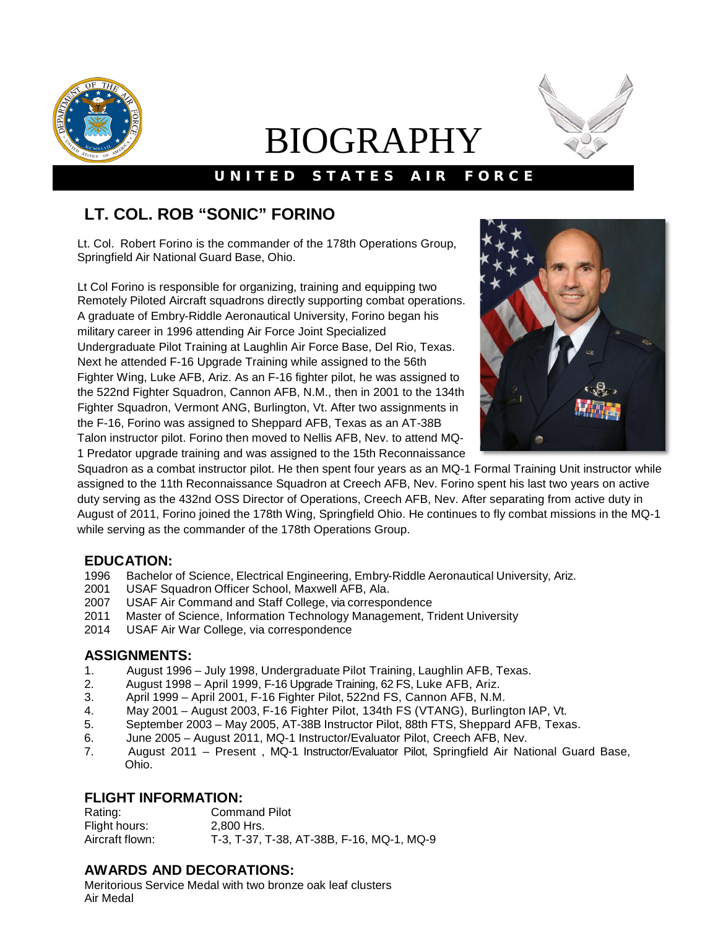

# BIOGRAPHY



### UNITED STATES AIR FORCE

## **LT. COL. ROB "SONIC" FORINO**

Lt. Col. Robert Forino is the commander of the 178th Operations Group, Springfield Air National Guard Base, Ohio.

Lt Col Forino is responsible for organizing, training and equipping two Remotely Piloted Aircraft squadrons directly supporting combat operations. A graduate of Embry-Riddle Aeronautical University, Forino began his military career in 1996 attending Air Force Joint Specialized Undergraduate Pilot Training at Laughlin Air Force Base, Del Rio, Texas. Next he attended F-16 Upgrade Training while assigned to the 56th Fighter Wing, Luke AFB, Ariz. As an F-16 fighter pilot, he was assigned to the 522nd Fighter Squadron, Cannon AFB, N.M., then in 2001 to the 134th Fighter Squadron, Vermont ANG, Burlington, Vt. After two assignments in the F-16, Forino was assigned to Sheppard AFB, Texas as an AT-38B Talon instructor pilot. Forino then moved to Nellis AFB, Nev. to attend MQ-1 Predator upgrade training and was assigned to the 15th Reconnaissance



Squadron as a combat instructor pilot. He then spent four years as an MQ-1 Formal Training Unit instructor while assigned to the 11th Reconnaissance Squadron at Creech AFB, Nev. Forino spent his last two years on active duty serving as the 432nd OSS Director of Operations, Creech AFB, Nev. After separating from active duty in August of 2011, Forino joined the 178th Wing, Springfield Ohio. He continues to fly combat missions in the MQ-1 while serving as the commander of the 178th Operations Group.

#### **EDUCATION:**

- 1996 Bachelor of Science, Electrical Engineering, Embry-Riddle Aeronautical University, Ariz.
- 2001 USAF Squadron Officer School, Maxwell AFB, Ala.
- 2007 USAF Air Command and Staff College, via correspondence
- 2011 Master of Science, Information Technology Management, Trident University
- 2014 USAF Air War College, via correspondence

#### **ASSIGNMENTS:**

- 1. August 1996 July 1998, Undergraduate Pilot Training, Laughlin AFB, Texas.
- 2. August 1998 April 1999, F-16 Upgrade Training, 62 FS, Luke AFB, Ariz.
- April 1999 April 2001, F-16 Fighter Pilot, 522nd FS, Cannon AFB, N.M.
- 4. May 2001 August 2003, F-16 Fighter Pilot, 134th FS (VTANG), Burlington IAP, Vt.
- 5. September 2003 May 2005, AT-38B Instructor Pilot, 88th FTS, Sheppard AFB, Texas.
- 6. June 2005 August 2011, MQ-1 Instructor/Evaluator Pilot, Creech AFB, Nev.
- 7. August 2011 Present , MQ-1 Instructor/Evaluator Pilot, Springfield Air National Guard Base, Ohio.

# **FLIGHT INFORMATION:**<br>Rating: Comm

**Command Pilot** Flight hours: 2,800 Hrs. Aircraft flown: T-3, T-37, T-38, AT-38B, F-16, MQ-1, MQ-9

#### **AWARDS AND DECORATIONS:**

Meritorious Service Medal with two bronze oak leaf clusters Air Medal